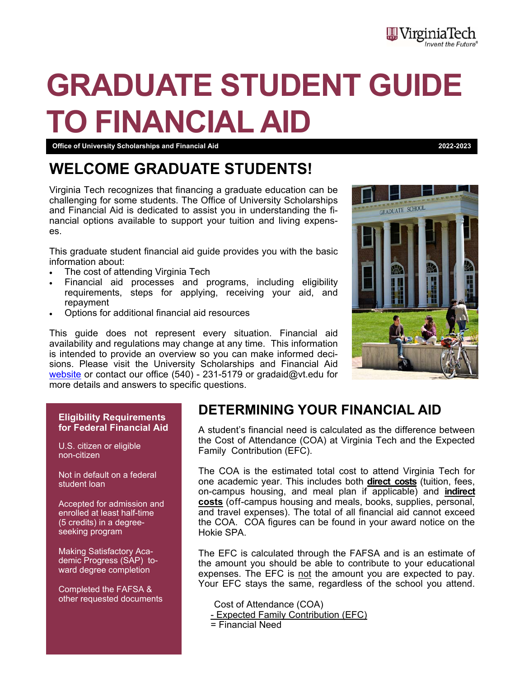# **GRADUATE STUDENT GUIDE TO FINANCIAL AID**

#### **Office of University Scholarships and Financial Aid 2022-2023**

# **WELCOME GRADUATE STUDENTS!**

Virginia Tech recognizes that financing a graduate education can be challenging for some students. The Office of University Scholarships and Financial Aid is dedicated to assist you in understanding the financial options available to support your tuition and living expenses.

This graduate student financial aid guide provides you with the basic information about:

- The cost of attending Virginia Tech
- Financial aid processes and programs, including eligibility requirements, steps for applying, receiving your aid, and repayment
- Options for additional financial aid resources

This guide does not represent every situation. Financial aid availability and regulations may change at any time. This information is intended to provide an overview so you can make informed decisions. Please visit the University Scholarships and Financial Aid website or contact our office (540) - 231-5179 or gradaid@vt.edu for more details and answers to specific questions.



#### **Eligibility Requirements for Federal Financial Aid**

U.S. citizen or eligible non-citizen

Not in default on a federal student loan

Accepted for admission and enrolled at least half-time (5 credits) in a degreeseeking program

Making Satisfactory Academic Progress (SAP) toward degree completion

Completed the FAFSA & other requested documents

## **DETERMINING YOUR FINANCIAL AID**

A student's financial need is calculated as the difference between the Cost of Attendance (COA) at Virginia Tech and the Expected Family Contribution (EFC).

The COA is the estimated total cost to attend Virginia Tech for one academic year. This includes both **direct costs** (tuition, fees, on-campus housing, and meal plan if applicable) and **indirect costs** (off-campus housing and meals, books, supplies, personal, and travel expenses). The total of all financial aid cannot exceed the COA. COA figures can be found in your award notice on the Hokie SPA.

The EFC is calculated through the FAFSA and is an estimate of the amount you should be able to contribute to your educational expenses. The EFC is not the amount you are expected to pay. Your EFC stays the same, regardless of the school you attend.

 Cost of Attendance (COA) - Expected Family Contribution (EFC)

= Financial Need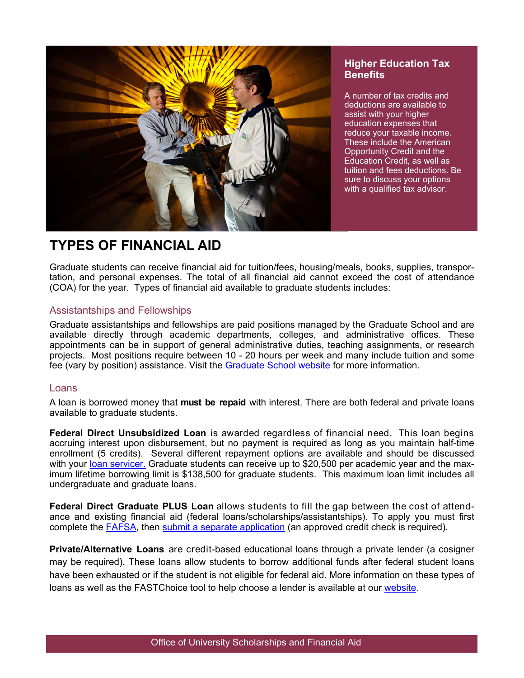

#### **Higher Education Tax Benefits**

A number of tax credits and deductions are available to assist with your higher education expenses that reduce your taxable income. These include the American Opportunity Credit and the Education Credit, as well as tuition and fees deductions. Be sure to discuss your options with a qualified tax advisor.

# **TYPES OF FINANCIAL AID**

Graduate students can receive financial aid for tuition/fees, housing/meals, books, supplies, transportation, and personal expenses. The total of all financial aid cannot exceed the cost of attendance (COA) for the year. Types of financial aid available to graduate students includes:

#### Assistantships and Fellowships

Graduate assistantships and fellowships are paid positions managed by the Graduate School and are available directly through academic departments, colleges, and administrative offices. These appointments can be in support of general administrative duties, teaching assignments, or research projects. Most positions require between 10 - 20 hours per week and many include tuition and some fee (vary by position) assistance. Visit the Graduate School website for more information.

#### Loans

A loan is borrowed money that **must be repaid** with interest. There are both federal and private loans available to graduate students.

**Federal Direct Unsubsidized Loan** is awarded regardless of financial need. This loan begins accruing interest upon disbursement, but no payment is required as long as you maintain half-time enrollment (5 credits). Several different repayment options are available and should be discussed with your loan servicer. Graduate students can receive up to \$20,500 per academic year and the maximum lifetime borrowing limit is \$138,500 for graduate students. This maximum loan limit includes all undergraduate and graduate loans.

**Federal Direct Graduate PLUS Loan** allows students to fill the gap between the cost of attendance and existing financial aid (federal loans/scholarships/assistantships). To apply you must first complete the **FAFSA**, then submit a separate application (an approved credit check is required).

**Private/Alternative Loans** are credit-based educational loans through a private lender (a cosigner may be required). These loans allow students to borrow additional funds after federal student loans have been exhausted or if the student is not eligible for federal aid. More information on these types of loans as well as the FASTChoice tool to help choose a lender is available at our website.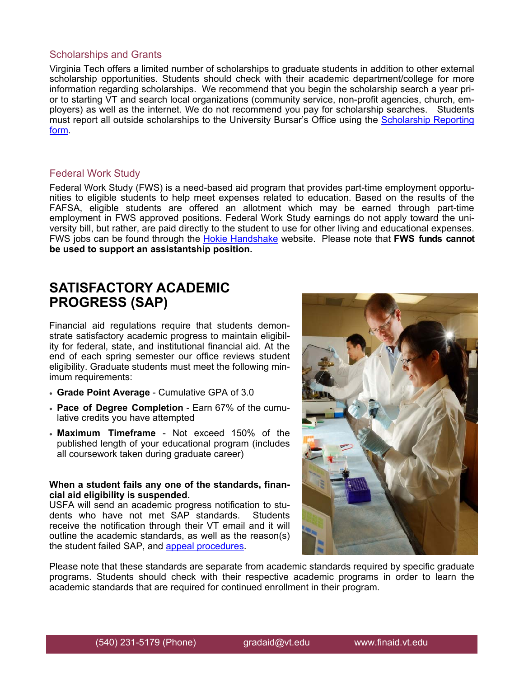#### Scholarships and Grants

Virginia Tech offers a limited number of scholarships to graduate students in addition to other external scholarship opportunities. Students should check with their academic department/college for more information regarding scholarships. We recommend that you begin the scholarship search a year prior to starting VT and search local organizations (community service, non-profit agencies, church, employers) as well as the internet. We do not recommend you pay for scholarship searches. Students must report all outside scholarships to the University Bursar's Office using the Scholarship Reporting form.

#### Federal Work Study

Federal Work Study (FWS) is a need-based aid program that provides part-time employment opportunities to eligible students to help meet expenses related to education. Based on the results of the FAFSA, eligible students are offered an allotment which may be earned through part-time employment in FWS approved positions. Federal Work Study earnings do not apply toward the university bill, but rather, are paid directly to the student to use for other living and educational expenses. FWS jobs can be found through the Hokie Handshake website. Please note that **FWS funds cannot be used to support an assistantship position.** 

## **SATISFACTORY ACADEMIC PROGRESS (SAP)**

Financial aid regulations require that students demonstrate satisfactory academic progress to maintain eligibility for federal, state, and institutional financial aid. At the end of each spring semester our office reviews student eligibility. Graduate students must meet the following minimum requirements:

- **Grade Point Average**  Cumulative GPA of 3.0
- **Pace of Degree Completion** Earn 67% of the cumulative credits you have attempted
- **Maximum Timeframe** Not exceed 150% of the published length of your educational program (includes all coursework taken during graduate career)

#### **When a student fails any one of the standards, financial aid eligibility is suspended.**

USFA will send an academic progress notification to students who have not met SAP standards. Students receive the notification through their VT email and it will outline the academic standards, as well as the reason(s) the student failed SAP, and appeal procedures.



Please note that these standards are separate from academic standards required by specific graduate programs. Students should check with their respective academic programs in order to learn the academic standards that are required for continued enrollment in their program.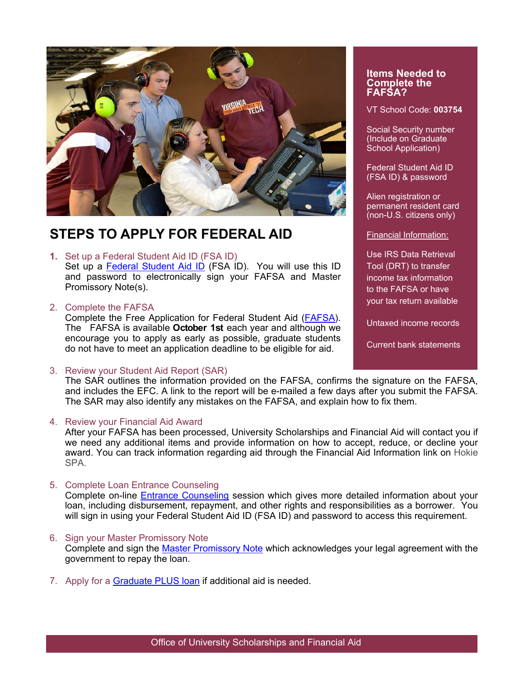

# **STEPS TO APPLY FOR FEDERAL AID**

**1.** Set up a Federal Student Aid ID (FSA ID)

Set up a Federal Student Aid ID (FSA ID). You will use this ID and password to electronically sign your FAFSA and Master Promissory Note(s).

2. Complete the FAFSA

Complete the Free Application for Federal Student Aid (FAFSA). The FAFSA is available **October 1st** each year and although we encourage you to apply as early as possible, graduate students do not have to meet an application deadline to be eligible for aid.

3. Review your Student Aid Report (SAR)

The SAR outlines the information provided on the FAFSA, confirms the signature on the FAFSA, and includes the EFC. A link to the report will be e-mailed a few days after you submit the FAFSA. The SAR may also identify any mistakes on the FAFSA, and explain how to fix them.

4. Review your Financial Aid Award

After your FAFSA has been processed, University Scholarships and Financial Aid will contact you if we need any additional items and provide information on how to accept, reduce, or decline your award. You can track information regarding aid through the Financial Aid Information link on Hokie SPA.

5. Complete Loan Entrance Counseling

Complete on-line Entrance Counseling session which gives more detailed information about your loan, including disbursement, repayment, and other rights and responsibilities as a borrower. You will sign in using your Federal Student Aid ID (FSA ID) and password to access this requirement.

6. Sign your Master Promissory Note

Complete and sign the Master Promissory Note which acknowledges your legal agreement with the government to repay the loan.

7. Apply for a Graduate PLUS loan if additional aid is needed.

#### **Items Needed to Complete the FAFSA?**

VT School Code: **003754** 

Social Security number (Include on Graduate School Application)

Federal Student Aid ID (FSA ID) & password

Alien registration or permanent resident card (non-U.S. citizens only)

Financial Information:

Use IRS Data Retrieval Tool (DRT) to transfer income tax information to the FAFSA or have your tax return available

Untaxed income records

Current bank statements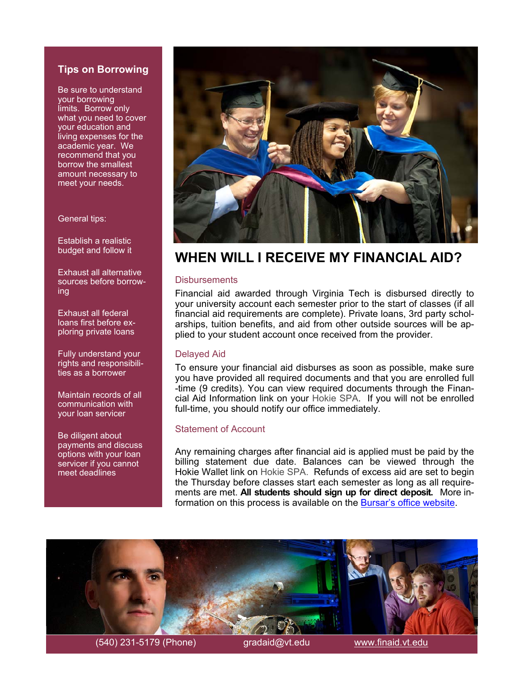#### **Tips on Borrowing**

Be sure to understand your borrowing limits. Borrow only what you need to cover your education and living expenses for the academic year. We recommend that you borrow the smallest amount necessary to meet your needs.

#### General tips:

Establish a realistic budget and follow it

Exhaust all alternative sources before borrowing

Exhaust all federal loans first before exploring private loans

Fully understand your rights and responsibilities as a borrower

Maintain records of all communication with your loan servicer

Be diligent about payments and discuss options with your loan servicer if you cannot meet deadlines



## **WHEN WILL I RECEIVE MY FINANCIAL AID?**

#### **Disbursements**

Financial aid awarded through Virginia Tech is disbursed directly to your university account each semester prior to the start of classes (if all financial aid requirements are complete). Private loans, 3rd party scholarships, tuition benefits, and aid from other outside sources will be applied to your student account once received from the provider.

#### Delayed Aid

To ensure your financial aid disburses as soon as possible, make sure you have provided all required documents and that you are enrolled full -time (9 credits). You can view required documents through the Financial Aid Information link on your Hokie SPA. If you will not be enrolled full-time, you should notify our office immediately.

#### Statement of Account

Any remaining charges after financial aid is applied must be paid by the billing statement due date. Balances can be viewed through the Hokie Wallet link on Hokie SPA. Refunds of excess aid are set to begin the Thursday before classes start each semester as long as all requirements are met. **All students should sign up for direct deposit.** More information on this process is available on the Bursar's office website.